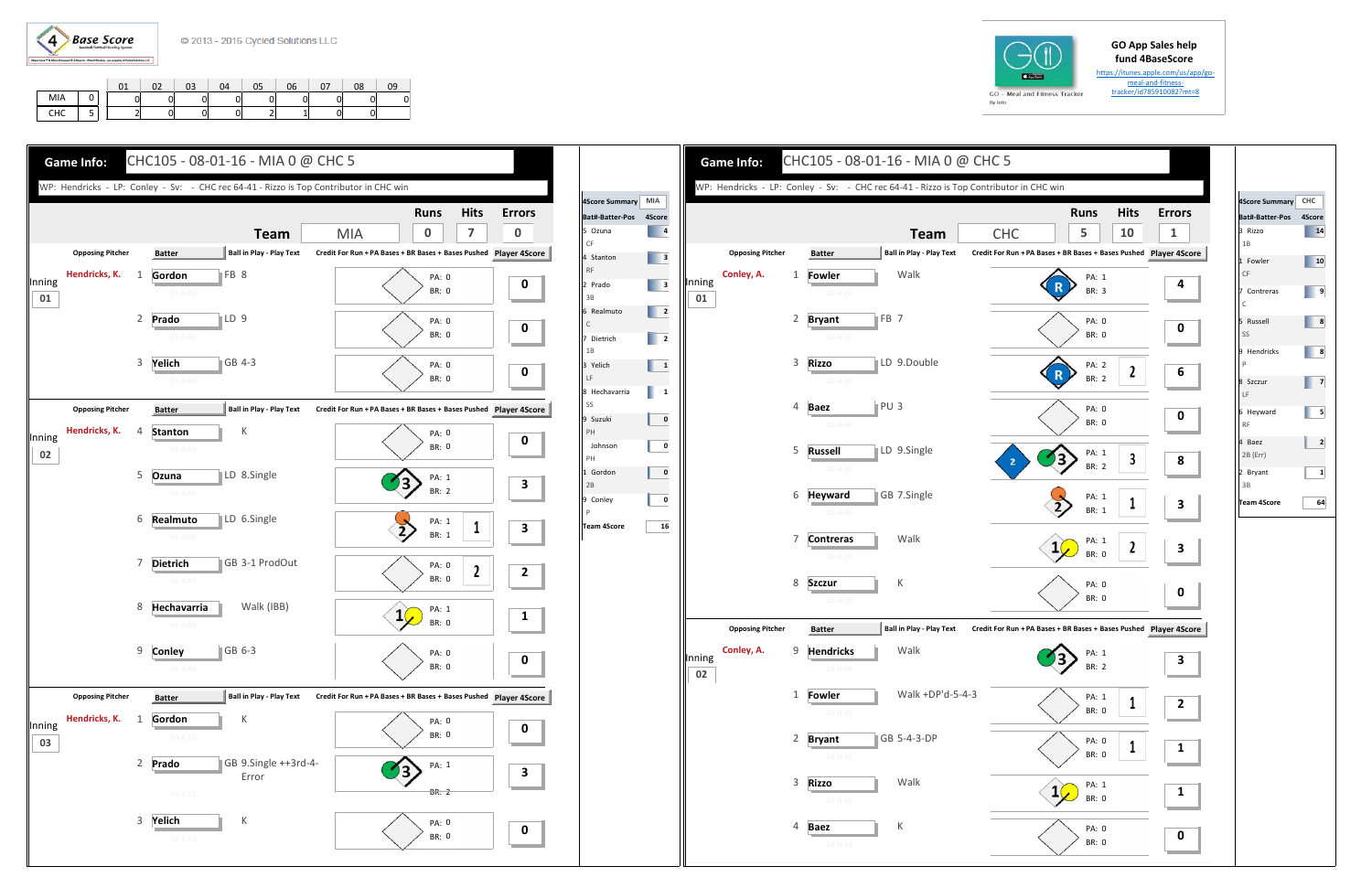

|  | GO |         |  |
|--|----|---------|--|
|  |    | By Iolo |  |

## **GO App Sales help fund 4BaseScore**

https://itunes.apple.com/us/app/go‐ meal-and-fitness-

| J - Meal and Fitness Tracker |
|------------------------------|
|                              |
|                              |
|                              |





**Team**

Walk



Walk

K

Walk

**GB 5-4-3-DP** 

Walk +DP'd‐5‐4‐3

FB<sub>7</sub>

**o** ILD 9.Double

**z** PU 3

Walk

K

| Bat#-Batter-Pos 4Score<br>1B<br>CF<br>$\mathsf{C}$<br>SS<br>$\mathsf{P}$<br>LF | 14<br>10<br>9<br>8<br>8 |
|--------------------------------------------------------------------------------|-------------------------|
| 3 Rizzo<br>1 Fowler                                                            |                         |
|                                                                                |                         |
| 7 Contreras                                                                    |                         |
| 5 Russell                                                                      |                         |
| 9 Hendricks<br>8 Szczur                                                        |                         |
|                                                                                |                         |
|                                                                                | 7                       |
| 6 Heyward<br><b>RF</b>                                                         | 5                       |
| 4 Baez<br>2B (Err)                                                             | $\mathbf{z}$            |
| 2 Bryant<br>3B                                                                 | 1                       |
| <b>Team 4Score</b>                                                             | 64                      |
|                                                                                |                         |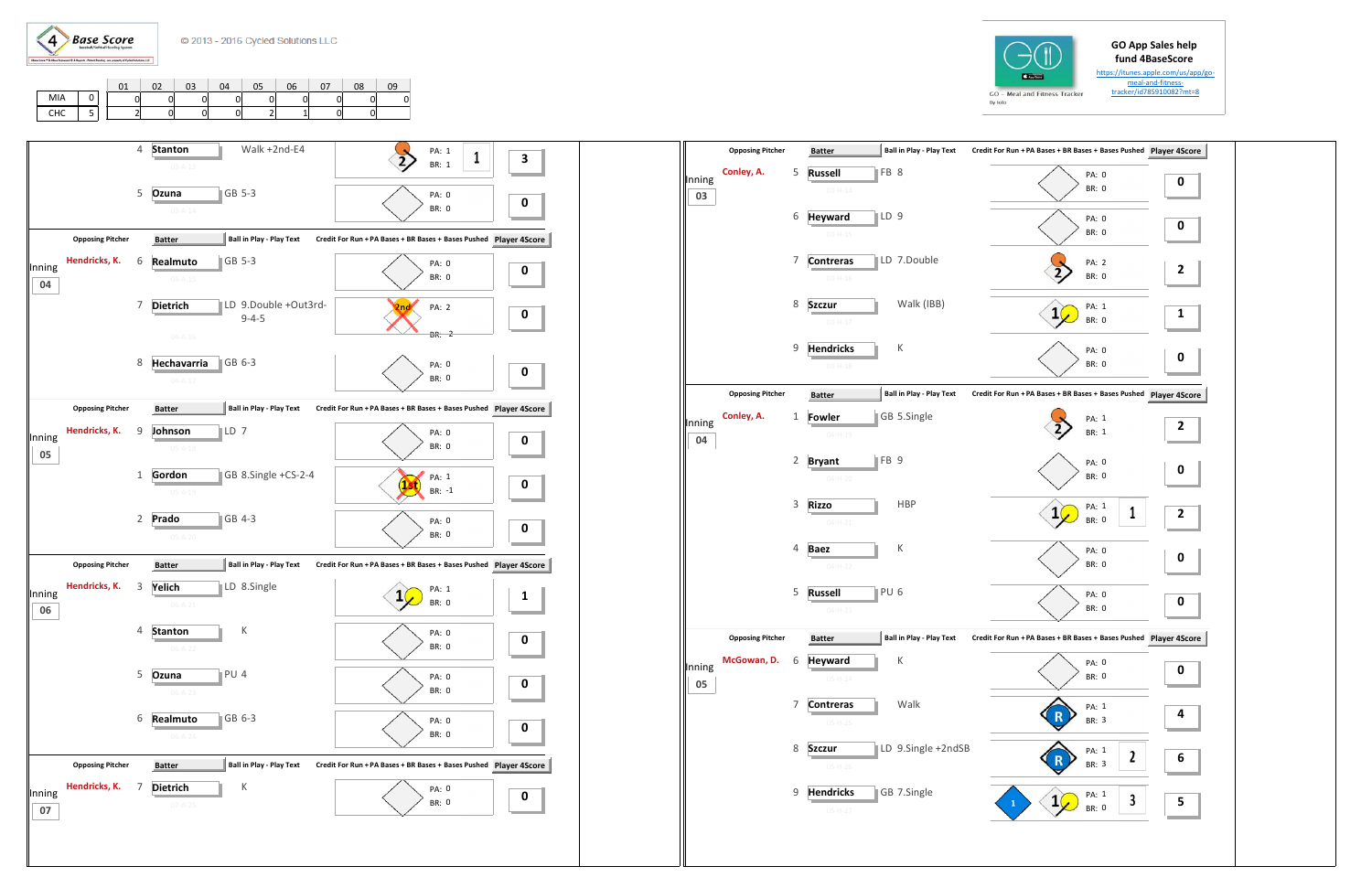## **GO App Sales help fund 4BaseScore**  https://itunes.apple.com/us/app/go‐

meal-and-fitness-





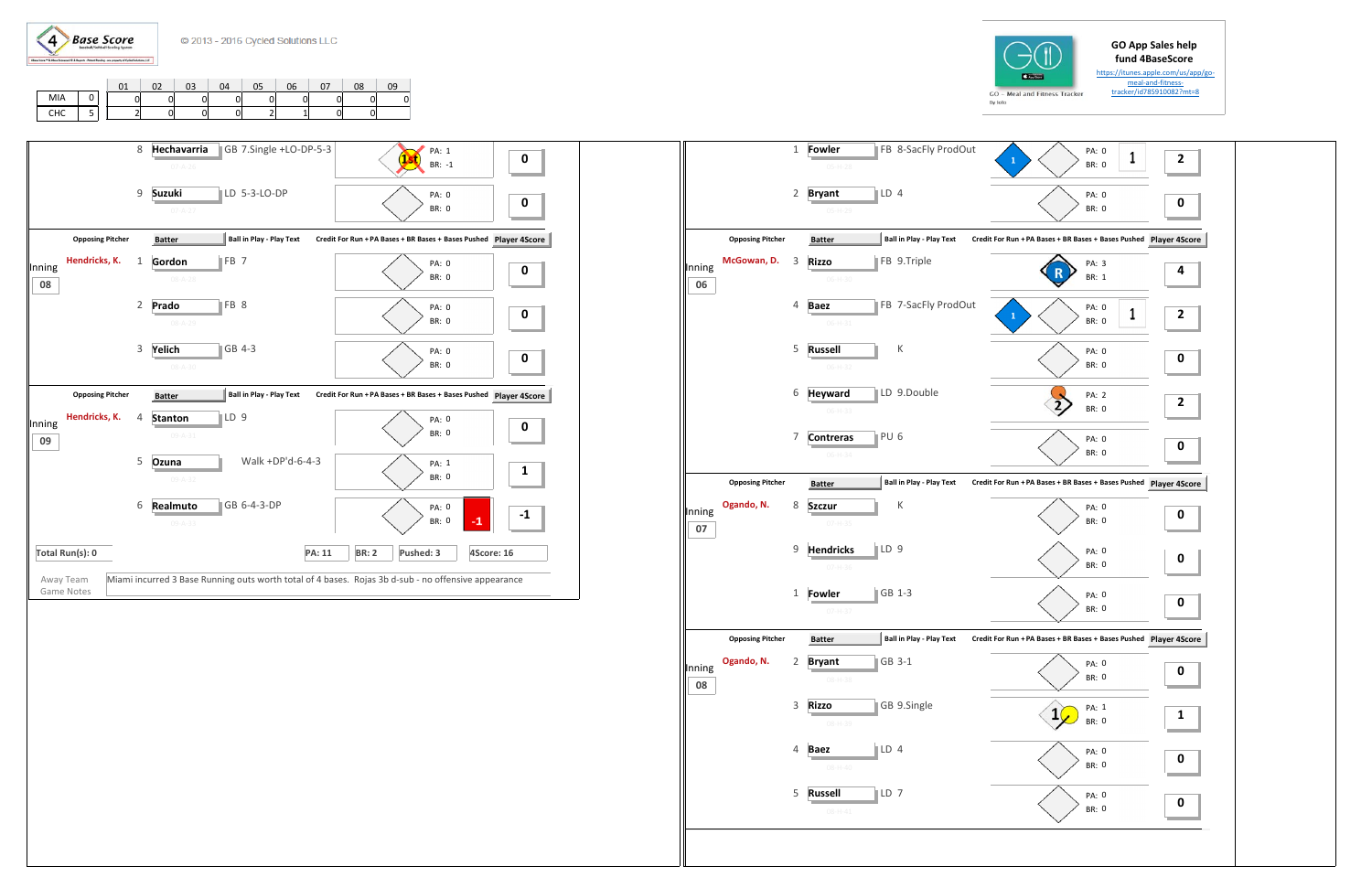



## **GO App Sales help fund 4BaseScore**

tracker/id785910082?mt=8 <sup>01</sup> <sup>02</sup> <sup>03</sup> <sup>04</sup> <sup>05</sup> <sup>06</sup> <sup>07</sup> <sup>08</sup> <sup>09</sup> 01 01 01 01 01 01 0  $|0|$ 21 01 01 01 21 11 01 0 MIA 0 CHC | 5

https://itunes.apple.com/us/app/go‐ meal‐and‐fitness‐

|        |                         | $\mathbf 1$  | Fowler<br>$05-H-28$            |                 | FB 8-SacFly ProdOut             | $\mathbf{1}$                                                  | PA: 0<br><b>BR: 0</b> | 1 | $\overline{\mathbf{c}}$ |
|--------|-------------------------|--------------|--------------------------------|-----------------|---------------------------------|---------------------------------------------------------------|-----------------------|---|-------------------------|
|        |                         | 2            | <b>Bryant</b>                  | $\mathbb{ID} 4$ |                                 |                                                               | PA: 0                 |   | 0                       |
|        |                         |              | $05-H-29$                      |                 |                                 |                                                               | <b>BR: 0</b>          |   |                         |
|        | <b>Opposing Pitcher</b> |              | <b>Batter</b>                  |                 | <b>Ball in Play - Play Text</b> | Credit For Run + PA Bases + BR Bases + Bases Pushed Player 4S |                       |   |                         |
| Inning | McGowan, D.             | 3            | <b>Rizzo</b>                   |                 | FB 9.Triple                     | R                                                             | PA: 3<br><b>BR: 1</b> |   | 4                       |
| 06     |                         |              | $06-H-30$                      |                 |                                 |                                                               |                       |   |                         |
|        |                         | 4            | <b>Baez</b><br>$06 - H - 31$   |                 | FB 7-SacFly ProdOut             | $\mathbf{1}$                                                  | PA: 0<br><b>BR: 0</b> | 1 | 2                       |
|        |                         | 5            | <b>Russell</b>                 |                 | К                               |                                                               | PA: 0                 |   |                         |
|        |                         |              | $06-H-32$                      |                 |                                 |                                                               | <b>BR: 0</b>          |   | 0                       |
|        |                         | 6            | <b>Heyward</b>                 |                 | LD 9.Double                     |                                                               | PA: 2                 |   |                         |
|        |                         |              | 06-H-33                        |                 |                                 |                                                               | <b>BR: 0</b>          |   | $\overline{\mathbf{c}}$ |
|        |                         | 7            | <b>Contreras</b>               | PU <sub>6</sub> |                                 |                                                               | PA: 0                 |   | 0                       |
|        |                         |              | $06 - H - 34$                  |                 |                                 |                                                               | BR: 0                 |   |                         |
|        | <b>Opposing Pitcher</b> |              | <b>Batter</b>                  |                 | <b>Ball in Play - Play Text</b> | Credit For Run + PA Bases + BR Bases + Bases Pushed Player 4S |                       |   |                         |
| Inning | Ogando, N.              | 8            | <b>Szczur</b><br>$07 - H - 35$ |                 | К                               |                                                               | PA: 0<br><b>BR: 0</b> |   | 0                       |
| 07     |                         |              |                                |                 |                                 |                                                               |                       |   |                         |
|        |                         | 9            | <b>Hendricks</b><br>$07-H-36$  | LD 9            |                                 |                                                               | PA: 0<br><b>BR: 0</b> |   | 0                       |
|        |                         | $\mathbf{1}$ | <b>Fowler</b>                  |                 | GB 1-3                          |                                                               | PA: 0                 |   |                         |
|        |                         |              | $07 - H - 37$                  |                 |                                 |                                                               | BR: 0                 |   | 0                       |
|        | <b>Opposing Pitcher</b> |              | <b>Batter</b>                  |                 | <b>Ball in Play - Play Text</b> | Credit For Run + PA Bases + BR Bases + Bases Pushed Player 4S |                       |   |                         |
| Inning | Ogando, N.              | 2            | <b>Bryant</b>                  |                 | GB 3-1                          |                                                               | PA: 0                 |   | 0                       |
| 08     |                         |              | 08-H-38                        |                 |                                 |                                                               | BR: 0                 |   |                         |
|        |                         | 3            | <b>Rizzo</b><br>08-H-39        |                 | GB 9.Single                     | 1                                                             | PA: 1<br><b>BR: 0</b> |   | 1                       |
|        |                         | 4            | <b>Baez</b>                    | $\mathbb{ID} 4$ |                                 |                                                               |                       |   |                         |
|        |                         |              | $08 - H - 40$                  |                 |                                 |                                                               | PA: 0<br><b>BR: 0</b> |   | 0                       |
|        |                         | 5            | <b>Russell</b>                 | $\ $ LD 7       |                                 |                                                               | PA: 0                 |   |                         |
|        |                         |              | $08 - H - 41$                  |                 |                                 |                                                               | <b>BR: 0</b>          |   | 0                       |
|        |                         |              |                                |                 |                                 |                                                               |                       |   |                         |
|        |                         |              |                                |                 |                                 |                                                               |                       |   |                         |



|                         | 8              | Hechavarria    | GB 7.Single +LO-DP-5-3          |               | PA: 1                                                                                               |            | $\bf{0}$ |
|-------------------------|----------------|----------------|---------------------------------|---------------|-----------------------------------------------------------------------------------------------------|------------|----------|
|                         |                | $07 - A - 26$  |                                 |               | BR: -1                                                                                              |            |          |
|                         | 9              | <b>Suzuki</b>  | LD 5-3-LO-DP                    |               | PA: 0                                                                                               |            | 0        |
|                         |                | $07 - A - 27$  |                                 |               | <b>BR: 0</b>                                                                                        |            |          |
| <b>Opposing Pitcher</b> |                | <b>Batter</b>  | <b>Ball in Play - Play Text</b> |               | Credit For Run + PA Bases + BR Bases + Bases Pushed Player 4Score                                   |            |          |
| Hendricks, K.<br>Inning | $\mathbf{1}$   | Gordon         | FB <sub>7</sub>                 |               | PA: 0                                                                                               |            | 0        |
| 08                      |                | $08 - A - 28$  |                                 |               | <b>BR: 0</b>                                                                                        |            |          |
|                         | $\overline{2}$ | Prado          | FB 8                            |               | PA: 0                                                                                               |            | 0        |
|                         |                | $08 - A - 29$  |                                 |               | <b>BR: 0</b>                                                                                        |            |          |
|                         | 3              | Yelich         | GB 4-3                          |               | PA: 0                                                                                               |            |          |
|                         |                | $08 - A - 30$  |                                 |               | <b>BR: 0</b>                                                                                        |            | 0        |
| <b>Opposing Pitcher</b> |                | <b>Batter</b>  | <b>Ball in Play - Play Text</b> |               | Credit For Run + PA Bases + BR Bases + Bases Pushed Player 4Score                                   |            |          |
| Hendricks, K.<br>Inning | 4              | <b>Stanton</b> | LD <sub>9</sub>                 |               | PA: 0                                                                                               |            |          |
| 09                      |                | $09 - A - 31$  |                                 |               | <b>BR: 0</b>                                                                                        |            | 0        |
|                         | 5              | Ozuna          | Walk +DP'd-6-4-3                |               | PA: 1                                                                                               |            |          |
|                         |                | 09-A-32        |                                 |               | <b>BR: 0</b>                                                                                        |            | 1        |
|                         | 6              | Realmuto       | GB 6-4-3-DP                     |               | PA: 0                                                                                               |            |          |
|                         |                | $09 - A - 33$  |                                 |               | <b>BR: 0</b>                                                                                        | $-1$       | $-1$     |
| Total Run(s): 0         |                |                |                                 | <b>PA: 11</b> | Pushed: 3<br><b>BR: 2</b>                                                                           | 4Score: 16 |          |
|                         |                |                |                                 |               |                                                                                                     |            |          |
| Away Team<br>Game Notes |                |                |                                 |               | Miami incurred 3 Base Running outs worth total of 4 bases. Rojas 3b d-sub - no offensive appearance |            |          |
|                         |                |                |                                 |               |                                                                                                     |            |          |
|                         |                |                |                                 |               |                                                                                                     |            |          |
|                         |                |                |                                 |               |                                                                                                     |            |          |
|                         |                |                |                                 |               |                                                                                                     |            |          |
|                         |                |                |                                 |               |                                                                                                     |            |          |
|                         |                |                |                                 |               |                                                                                                     |            |          |
|                         |                |                |                                 |               |                                                                                                     |            |          |
|                         |                |                |                                 |               |                                                                                                     |            |          |
|                         |                |                |                                 |               |                                                                                                     |            |          |
|                         |                |                |                                 |               |                                                                                                     |            |          |
|                         |                |                |                                 |               |                                                                                                     |            |          |
|                         |                |                |                                 |               |                                                                                                     |            |          |